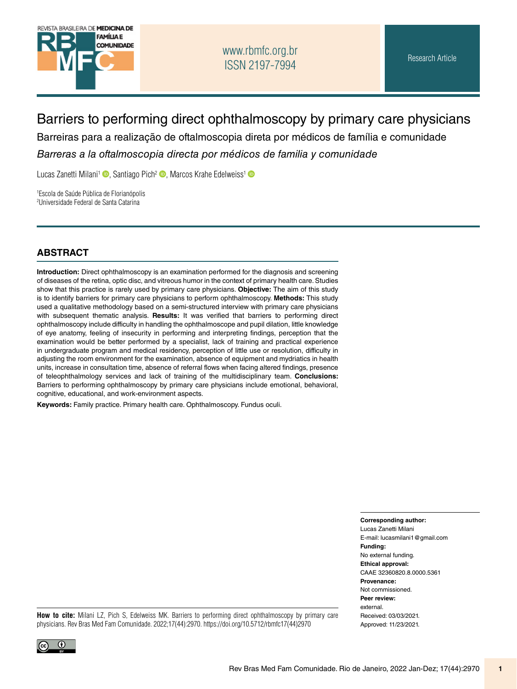

## [www.rbmfc.org.br](http://www.rbmfc.org.br) ISSN 2197-7994

# Barriers to performing direct ophthalmoscopy by primary care physicians

Barreiras para a realização de oftalmoscopia direta por médicos de família e comunidade

*Barreras a la oftalmoscopia directa por médicos de familia y comunidade*

Lucas Zanetti Milani<sup>1</sup> (D[,](http://orcid.org/0000-0001-6254-7026) Santiago Pich<sup>[2](http://orcid.org/0000-0002-8064-1320)</sup> (D, Marcos Krahe Edelweiss<sup>[1](http://orcid.org/0000-0002-7768-0716)</sup> (D)

1 Escola de Saúde Pública de Florianópolis 2 Universidade Federal de Santa Catarina

#### **ABSTRACT**

**Introduction:** Direct ophthalmoscopy is an examination performed for the diagnosis and screening of diseases of the retina, optic disc, and vitreous humor in the context of primary health care. Studies show that this practice is rarely used by primary care physicians. **Objective:** The aim of this study is to identify barriers for primary care physicians to perform ophthalmoscopy. **Methods:** This study used a qualitative methodology based on a semi-structured interview with primary care physicians with subsequent thematic analysis. **Results:** It was verified that barriers to performing direct ophthalmoscopy include difficulty in handling the ophthalmoscope and pupil dilation, little knowledge of eye anatomy, feeling of insecurity in performing and interpreting findings, perception that the examination would be better performed by a specialist, lack of training and practical experience in undergraduate program and medical residency, perception of little use or resolution, difficulty in adjusting the room environment for the examination, absence of equipment and mydriatics in health units, increase in consultation time, absence of referral flows when facing altered findings, presence of teleophthalmology services and lack of training of the multidisciplinary team. **Conclusions:**  Barriers to performing ophthalmoscopy by primary care physicians include emotional, behavioral, cognitive, educational, and work-environment aspects.

**Keywords:** Family practice. Primary health care. Ophthalmoscopy. Fundus oculi.

**Corresponding author:** 

Lucas Zanetti Milani E-mail: [lucasmilani1@gmail.com](mailto:lucasmilani1@gmail.com) **Funding:**  No external funding. **Ethical approval:**  CAAE 32360820.8.0000.5361 **Provenance:**  Not commissioned. **Peer review:**  external. Received: 03/03/2021. Approved: 11/23/2021.

**How to cite:** Milani LZ, Pich S, Edelweiss MK. Barriers to performing direct ophthalmoscopy by primary care physicians. Rev Bras Med Fam Comunidade. 2022;17(44):2970. [https://doi.org/10.5712/rbmfc17\(44\)2970](https://doi.org/10.5712/rbmfc17(44)2970)

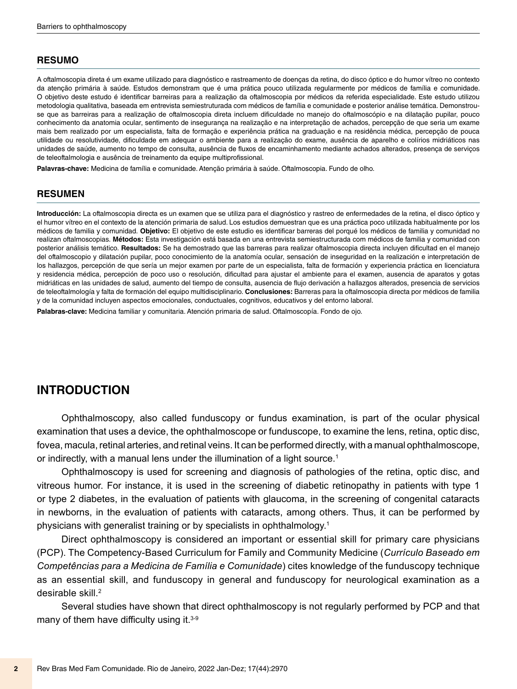#### **RESUMO**

A oftalmoscopia direta é um exame utilizado para diagnóstico e rastreamento de doenças da retina, do disco óptico e do humor vítreo no contexto da atenção primária à saúde. Estudos demonstram que é uma prática pouco utilizada regularmente por médicos de família e comunidade. O objetivo deste estudo é identificar barreiras para a realização da oftalmoscopia por médicos da referida especialidade. Este estudo utilizou metodologia qualitativa, baseada em entrevista semiestruturada com médicos de família e comunidade e posterior análise temática. Demonstrouse que as barreiras para a realização de oftalmoscopia direta incluem dificuldade no manejo do oftalmoscópio e na dilatação pupilar, pouco conhecimento da anatomia ocular, sentimento de insegurança na realização e na interpretação de achados, percepção de que seria um exame mais bem realizado por um especialista, falta de formação e experiência prática na graduação e na residência médica, percepção de pouca utilidade ou resolutividade, dificuldade em adequar o ambiente para a realização do exame, ausência de aparelho e colírios midriáticos nas unidades de saúde, aumento no tempo de consulta, ausência de fluxos de encaminhamento mediante achados alterados, presença de serviços de teleoftalmologia e ausência de treinamento da equipe multiprofissional.

**Palavras-chave:** Medicina de família e comunidade. Atenção primária à saúde. Oftalmoscopia. Fundo de olho.

#### **RESUMEN**

**Introducción:** La oftalmoscopia directa es un examen que se utiliza para el diagnóstico y rastreo de enfermedades de la retina, el disco óptico y el humor vítreo en el contexto de la atención primaria de salud. Los estudios demuestran que es una práctica poco utilizada habitualmente por los médicos de familia y comunidad. **Objetivo:** El objetivo de este estudio es identificar barreras del porqué los médicos de familia y comunidad no realizan oftalmoscopias. **Métodos:** Esta investigación está basada en una entrevista semiestructurada com médicos de familia y comunidad con posterior análisis temático. **Resultados:** Se ha demostrado que las barreras para realizar oftalmoscopia directa incluyen dificultad en el manejo del oftalmoscopio y dilatación pupilar, poco conocimiento de la anatomía ocular, sensación de inseguridad en la realización e interpretación de los hallazgos, percepción de que sería un mejor examen por parte de un especialista, falta de formación y experiencia práctica en licenciatura y residencia médica, percepción de poco uso o resolución, dificultad para ajustar el ambiente para el examen, ausencia de aparatos y gotas midriáticas en las unidades de salud, aumento del tiempo de consulta, ausencia de flujo derivación a hallazgos alterados, presencia de servicios de teleoftalmología y falta de formación del equipo multidisciplinario. **Conclusiones:** Barreras para la oftalmoscopia directa por médicos de familia y de la comunidad incluyen aspectos emocionales, conductuales, cognitivos, educativos y del entorno laboral.

**Palabras-clave:** Medicina familiar y comunitaria. Atención primaria de salud. Oftalmoscopía. Fondo de ojo.

#### **INTRODUCTION**

Ophthalmoscopy, also called funduscopy or fundus examination, is part of the ocular physical examination that uses a device, the ophthalmoscope or funduscope, to examine the lens, retina, optic disc, fovea, macula, retinal arteries, and retinal veins. It can be performed directly, with a manual ophthalmoscope, or indirectly, with a manual lens under the illumination of a light source.<sup>1</sup>

Ophthalmoscopy is used for screening and diagnosis of pathologies of the retina, optic disc, and vitreous humor. For instance, it is used in the screening of diabetic retinopathy in patients with type 1 or type 2 diabetes, in the evaluation of patients with glaucoma, in the screening of congenital cataracts in newborns, in the evaluation of patients with cataracts, among others. Thus, it can be performed by physicians with generalist training or by specialists in ophthalmology.1

Direct ophthalmoscopy is considered an important or essential skill for primary care physicians (PCP). The Competency-Based Curriculum for Family and Community Medicine (*Currículo Baseado em Competências para a Medicina de Família e Comunidade*) cites knowledge of the funduscopy technique as an essential skill, and funduscopy in general and funduscopy for neurological examination as a desirable skill.2

Several studies have shown that direct ophthalmoscopy is not regularly performed by PCP and that many of them have difficulty using it.<sup>3-9</sup>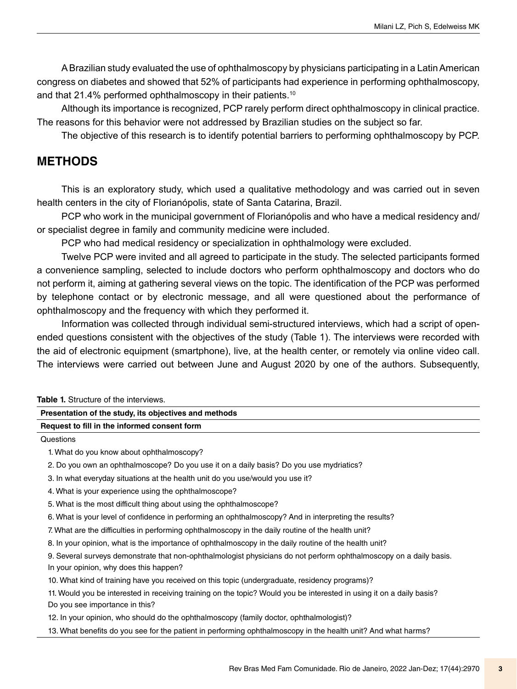A Brazilian study evaluated the use of ophthalmoscopy by physicians participating in a Latin American congress on diabetes and showed that 52% of participants had experience in performing ophthalmoscopy, and that 21.4% performed ophthalmoscopy in their patients.<sup>10</sup>

Although its importance is recognized, PCP rarely perform direct ophthalmoscopy in clinical practice. The reasons for this behavior were not addressed by Brazilian studies on the subject so far.

The objective of this research is to identify potential barriers to performing ophthalmoscopy by PCP.

## **METHODS**

This is an exploratory study, which used a qualitative methodology and was carried out in seven health centers in the city of Florianópolis, state of Santa Catarina, Brazil.

PCP who work in the municipal government of Florianópolis and who have a medical residency and/ or specialist degree in family and community medicine were included.

PCP who had medical residency or specialization in ophthalmology were excluded.

Twelve PCP were invited and all agreed to participate in the study. The selected participants formed a convenience sampling, selected to include doctors who perform ophthalmoscopy and doctors who do not perform it, aiming at gathering several views on the topic. The identification of the PCP was performed by telephone contact or by electronic message, and all were questioned about the performance of ophthalmoscopy and the frequency with which they performed it.

Information was collected through individual semi-structured interviews, which had a script of openended questions consistent with the objectives of the study (Table 1). The interviews were recorded with the aid of electronic equipment (smartphone), live, at the health center, or remotely via online video call. The interviews were carried out between June and August 2020 by one of the authors. Subsequently,

| <b>Table 1.</b> Structure of the interviews.                                                                          |
|-----------------------------------------------------------------------------------------------------------------------|
| Presentation of the study, its objectives and methods                                                                 |
| Request to fill in the informed consent form                                                                          |
| Questions                                                                                                             |
| 1. What do you know about ophthalmoscopy?                                                                             |
| 2. Do you own an ophthalmoscope? Do you use it on a daily basis? Do you use mydriatics?                               |
| 3. In what everyday situations at the health unit do you use/would you use it?                                        |
| 4. What is your experience using the ophthalmoscope?                                                                  |
| 5. What is the most difficult thing about using the ophthalmoscope?                                                   |
| 6. What is your level of confidence in performing an ophthalmoscopy? And in interpreting the results?                 |
| 7. What are the difficulties in performing ophthalmoscopy in the daily routine of the health unit?                    |
| 8. In your opinion, what is the importance of ophthalmoscopy in the daily routine of the health unit?                 |
| 9. Several surveys demonstrate that non-ophthalmologist physicians do not perform ophthalmoscopy on a daily basis.    |
| In your opinion, why does this happen?                                                                                |
| 10. What kind of training have you received on this topic (undergraduate, residency programs)?                        |
| 11. Would you be interested in receiving training on the topic? Would you be interested in using it on a daily basis? |
| Do you see importance in this?                                                                                        |
| 12. In your opinion, who should do the ophthalmoscopy (family doctor, ophthalmologist)?                               |
| 13. What benefits do you see for the patient in performing ophthalmoscopy in the health unit? And what harms?         |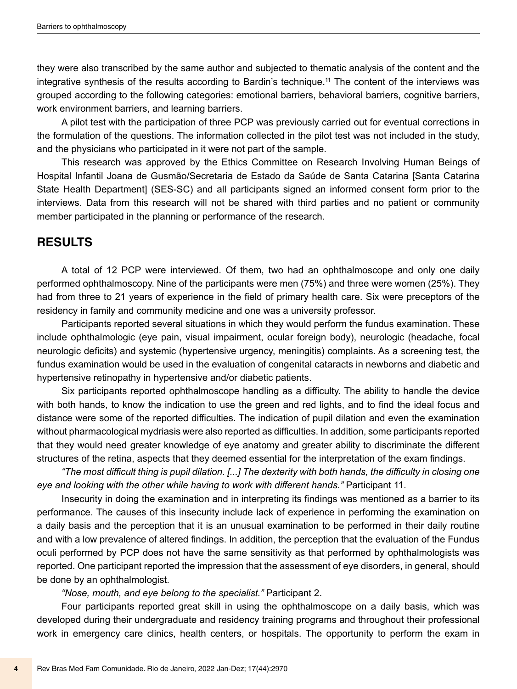they were also transcribed by the same author and subjected to thematic analysis of the content and the integrative synthesis of the results according to Bardin's technique.11 The content of the interviews was grouped according to the following categories: emotional barriers, behavioral barriers, cognitive barriers, work environment barriers, and learning barriers.

A pilot test with the participation of three PCP was previously carried out for eventual corrections in the formulation of the questions. The information collected in the pilot test was not included in the study, and the physicians who participated in it were not part of the sample.

This research was approved by the Ethics Committee on Research Involving Human Beings of Hospital Infantil Joana de Gusmão/Secretaria de Estado da Saúde de Santa Catarina [Santa Catarina State Health Department] (SES-SC) and all participants signed an informed consent form prior to the interviews. Data from this research will not be shared with third parties and no patient or community member participated in the planning or performance of the research.

## **RESULTS**

A total of 12 PCP were interviewed. Of them, two had an ophthalmoscope and only one daily performed ophthalmoscopy. Nine of the participants were men (75%) and three were women (25%). They had from three to 21 years of experience in the field of primary health care. Six were preceptors of the residency in family and community medicine and one was a university professor.

Participants reported several situations in which they would perform the fundus examination. These include ophthalmologic (eye pain, visual impairment, ocular foreign body), neurologic (headache, focal neurologic deficits) and systemic (hypertensive urgency, meningitis) complaints. As a screening test, the fundus examination would be used in the evaluation of congenital cataracts in newborns and diabetic and hypertensive retinopathy in hypertensive and/or diabetic patients.

Six participants reported ophthalmoscope handling as a difficulty. The ability to handle the device with both hands, to know the indication to use the green and red lights, and to find the ideal focus and distance were some of the reported difficulties. The indication of pupil dilation and even the examination without pharmacological mydriasis were also reported as difficulties. In addition, some participants reported that they would need greater knowledge of eye anatomy and greater ability to discriminate the different structures of the retina, aspects that they deemed essential for the interpretation of the exam findings.

*"The most difficult thing is pupil dilation. [...] The dexterity with both hands, the difficulty in closing one eye and looking with the other while having to work with different hands."* Participant 11.

Insecurity in doing the examination and in interpreting its findings was mentioned as a barrier to its performance. The causes of this insecurity include lack of experience in performing the examination on a daily basis and the perception that it is an unusual examination to be performed in their daily routine and with a low prevalence of altered findings. In addition, the perception that the evaluation of the Fundus oculi performed by PCP does not have the same sensitivity as that performed by ophthalmologists was reported. One participant reported the impression that the assessment of eye disorders, in general, should be done by an ophthalmologist.

*"Nose, mouth, and eye belong to the specialist."* Participant 2.

Four participants reported great skill in using the ophthalmoscope on a daily basis, which was developed during their undergraduate and residency training programs and throughout their professional work in emergency care clinics, health centers, or hospitals. The opportunity to perform the exam in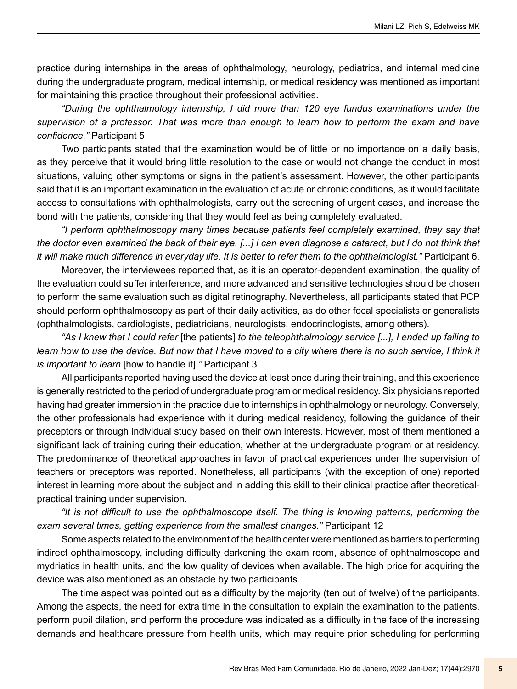practice during internships in the areas of ophthalmology, neurology, pediatrics, and internal medicine during the undergraduate program, medical internship, or medical residency was mentioned as important for maintaining this practice throughout their professional activities.

*"During the ophthalmology internship, I did more than 120 eye fundus examinations under the supervision of a professor. That was more than enough to learn how to perform the exam and have confidence."* Participant 5

Two participants stated that the examination would be of little or no importance on a daily basis, as they perceive that it would bring little resolution to the case or would not change the conduct in most situations, valuing other symptoms or signs in the patient's assessment. However, the other participants said that it is an important examination in the evaluation of acute or chronic conditions, as it would facilitate access to consultations with ophthalmologists, carry out the screening of urgent cases, and increase the bond with the patients, considering that they would feel as being completely evaluated.

*"I perform ophthalmoscopy many times because patients feel completely examined, they say that the doctor even examined the back of their eye. [...] I can even diagnose a cataract, but I do not think that it will make much difference in everyday life. It is better to refer them to the ophthalmologist."* Participant 6.

Moreover, the interviewees reported that, as it is an operator-dependent examination, the quality of the evaluation could suffer interference, and more advanced and sensitive technologies should be chosen to perform the same evaluation such as digital retinography. Nevertheless, all participants stated that PCP should perform ophthalmoscopy as part of their daily activities, as do other focal specialists or generalists (ophthalmologists, cardiologists, pediatricians, neurologists, endocrinologists, among others).

*"As I knew that I could refer* [the patients] *to the teleophthalmology service [...], I ended up failing to learn how to use the device. But now that I have moved to a city where there is no such service, I think it is important to learn* [how to handle it]*."* Participant 3

All participants reported having used the device at least once during their training, and this experience is generally restricted to the period of undergraduate program or medical residency. Six physicians reported having had greater immersion in the practice due to internships in ophthalmology or neurology. Conversely, the other professionals had experience with it during medical residency, following the guidance of their preceptors or through individual study based on their own interests. However, most of them mentioned a significant lack of training during their education, whether at the undergraduate program or at residency. The predominance of theoretical approaches in favor of practical experiences under the supervision of teachers or preceptors was reported. Nonetheless, all participants (with the exception of one) reported interest in learning more about the subject and in adding this skill to their clinical practice after theoreticalpractical training under supervision.

*"It is not difficult to use the ophthalmoscope itself. The thing is knowing patterns, performing the exam several times, getting experience from the smallest changes."* Participant 12

Some aspects related to the environment of the health center were mentioned as barriers to performing indirect ophthalmoscopy, including difficulty darkening the exam room, absence of ophthalmoscope and mydriatics in health units, and the low quality of devices when available. The high price for acquiring the device was also mentioned as an obstacle by two participants.

The time aspect was pointed out as a difficulty by the majority (ten out of twelve) of the participants. Among the aspects, the need for extra time in the consultation to explain the examination to the patients, perform pupil dilation, and perform the procedure was indicated as a difficulty in the face of the increasing demands and healthcare pressure from health units, which may require prior scheduling for performing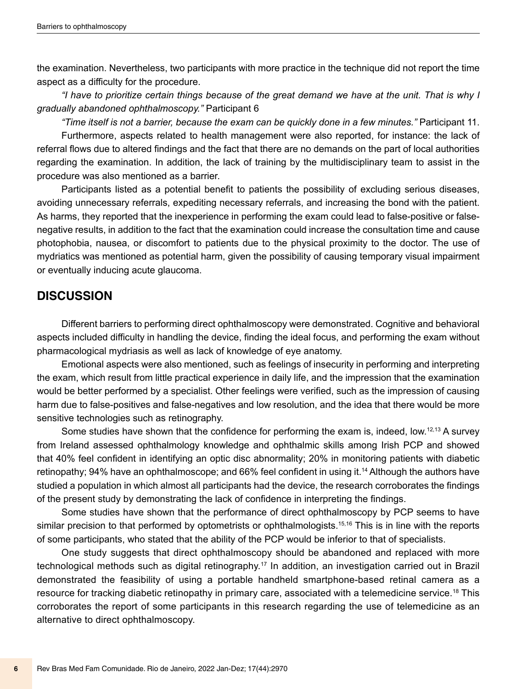the examination. Nevertheless, two participants with more practice in the technique did not report the time aspect as a difficulty for the procedure.

*"I have to prioritize certain things because of the great demand we have at the unit. That is why I gradually abandoned ophthalmoscopy."* Participant 6

*"Time itself is not a barrier, because the exam can be quickly done in a few minutes."* Participant 11. Furthermore, aspects related to health management were also reported, for instance: the lack of referral flows due to altered findings and the fact that there are no demands on the part of local authorities regarding the examination. In addition, the lack of training by the multidisciplinary team to assist in the procedure was also mentioned as a barrier.

Participants listed as a potential benefit to patients the possibility of excluding serious diseases, avoiding unnecessary referrals, expediting necessary referrals, and increasing the bond with the patient. As harms, they reported that the inexperience in performing the exam could lead to false-positive or falsenegative results, in addition to the fact that the examination could increase the consultation time and cause photophobia, nausea, or discomfort to patients due to the physical proximity to the doctor. The use of mydriatics was mentioned as potential harm, given the possibility of causing temporary visual impairment or eventually inducing acute glaucoma.

#### **DISCUSSION**

Different barriers to performing direct ophthalmoscopy were demonstrated. Cognitive and behavioral aspects included difficulty in handling the device, finding the ideal focus, and performing the exam without pharmacological mydriasis as well as lack of knowledge of eye anatomy.

Emotional aspects were also mentioned, such as feelings of insecurity in performing and interpreting the exam, which result from little practical experience in daily life, and the impression that the examination would be better performed by a specialist. Other feelings were verified, such as the impression of causing harm due to false-positives and false-negatives and low resolution, and the idea that there would be more sensitive technologies such as retinography.

Some studies have shown that the confidence for performing the exam is, indeed, low.12,13 A survey from Ireland assessed ophthalmology knowledge and ophthalmic skills among Irish PCP and showed that 40% feel confident in identifying an optic disc abnormality; 20% in monitoring patients with diabetic retinopathy; 94% have an ophthalmoscope; and 66% feel confident in using it.14 Although the authors have studied a population in which almost all participants had the device, the research corroborates the findings of the present study by demonstrating the lack of confidence in interpreting the findings.

Some studies have shown that the performance of direct ophthalmoscopy by PCP seems to have similar precision to that performed by optometrists or ophthalmologists.<sup>15,16</sup> This is in line with the reports of some participants, who stated that the ability of the PCP would be inferior to that of specialists.

One study suggests that direct ophthalmoscopy should be abandoned and replaced with more technological methods such as digital retinography.17 In addition, an investigation carried out in Brazil demonstrated the feasibility of using a portable handheld smartphone-based retinal camera as a resource for tracking diabetic retinopathy in primary care, associated with a telemedicine service.18 This corroborates the report of some participants in this research regarding the use of telemedicine as an alternative to direct ophthalmoscopy.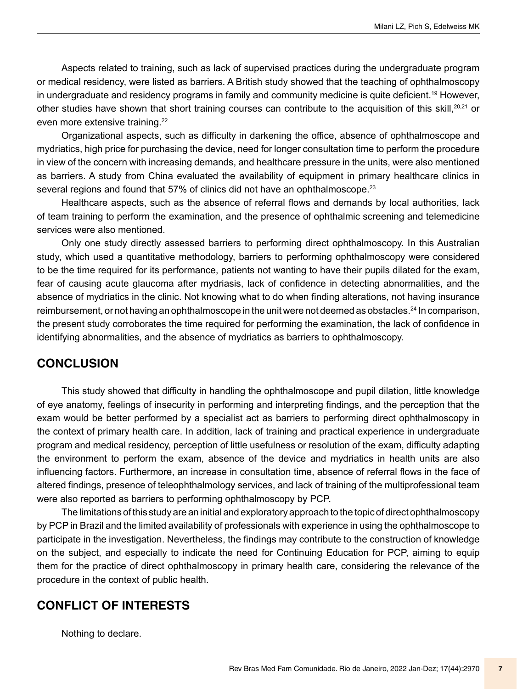Aspects related to training, such as lack of supervised practices during the undergraduate program or medical residency, were listed as barriers. A British study showed that the teaching of ophthalmoscopy in undergraduate and residency programs in family and community medicine is quite deficient.<sup>19</sup> However, other studies have shown that short training courses can contribute to the acquisition of this skill,20,21 or even more extensive training.22

Organizational aspects, such as difficulty in darkening the office, absence of ophthalmoscope and mydriatics, high price for purchasing the device, need for longer consultation time to perform the procedure in view of the concern with increasing demands, and healthcare pressure in the units, were also mentioned as barriers. A study from China evaluated the availability of equipment in primary healthcare clinics in several regions and found that 57% of clinics did not have an ophthalmoscope.<sup>23</sup>

Healthcare aspects, such as the absence of referral flows and demands by local authorities, lack of team training to perform the examination, and the presence of ophthalmic screening and telemedicine services were also mentioned.

Only one study directly assessed barriers to performing direct ophthalmoscopy. In this Australian study, which used a quantitative methodology, barriers to performing ophthalmoscopy were considered to be the time required for its performance, patients not wanting to have their pupils dilated for the exam, fear of causing acute glaucoma after mydriasis, lack of confidence in detecting abnormalities, and the absence of mydriatics in the clinic. Not knowing what to do when finding alterations, not having insurance reimbursement, or not having an ophthalmoscope in the unit were not deemed as obstacles.<sup>24</sup> In comparison, the present study corroborates the time required for performing the examination, the lack of confidence in identifying abnormalities, and the absence of mydriatics as barriers to ophthalmoscopy.

#### **CONCLUSION**

This study showed that difficulty in handling the ophthalmoscope and pupil dilation, little knowledge of eye anatomy, feelings of insecurity in performing and interpreting findings, and the perception that the exam would be better performed by a specialist act as barriers to performing direct ophthalmoscopy in the context of primary health care. In addition, lack of training and practical experience in undergraduate program and medical residency, perception of little usefulness or resolution of the exam, difficulty adapting the environment to perform the exam, absence of the device and mydriatics in health units are also influencing factors. Furthermore, an increase in consultation time, absence of referral flows in the face of altered findings, presence of teleophthalmology services, and lack of training of the multiprofessional team were also reported as barriers to performing ophthalmoscopy by PCP.

The limitations of this study are an initial and exploratory approach to the topic of direct ophthalmoscopy by PCP in Brazil and the limited availability of professionals with experience in using the ophthalmoscope to participate in the investigation. Nevertheless, the findings may contribute to the construction of knowledge on the subject, and especially to indicate the need for Continuing Education for PCP, aiming to equip them for the practice of direct ophthalmoscopy in primary health care, considering the relevance of the procedure in the context of public health.

## **CONFLICT OF INTERESTS**

Nothing to declare.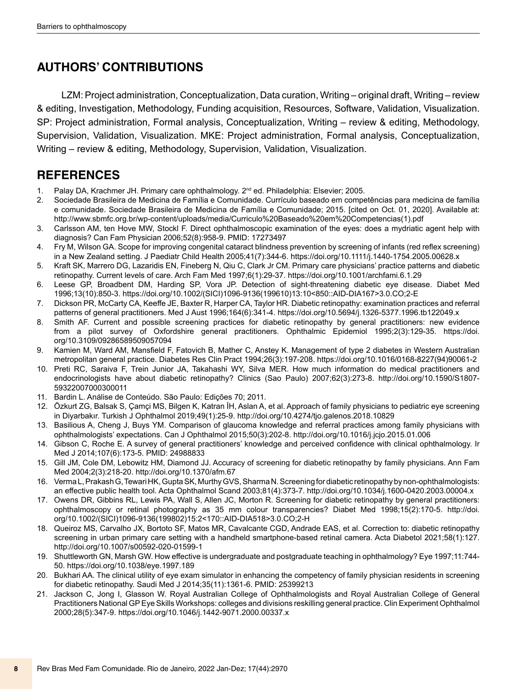# **AUTHORS' CONTRIBUTIONS**

LZM: Project administration, Conceptualization, Data curation, Writing – original draft, Writing – review & editing, Investigation, Methodology, Funding acquisition, Resources, Software, Validation, Visualization. SP: Project administration, Formal analysis, Conceptualization, Writing – review & editing, Methodology, Supervision, Validation, Visualization. MKE: Project administration, Formal analysis, Conceptualization, Writing – review & editing, Methodology, Supervision, Validation, Visualization.

# **REFERENCES**

- 1. Palay DA, Krachmer JH. Primary care ophthalmology. 2<sup>nd</sup> ed. Philadelphia: Elsevier: 2005.
- 2. Sociedade Brasileira de Medicina de Família e Comunidade. Currículo baseado em competências para medicina de família e comunidade. Sociedade Brasileira de Medicina de Família e Comunidade; 2015. [cited on Oct. 01, 2020]. Available at: [http://www.sbmfc.org.br/wp-content/uploads/media/Curriculo%20Baseado%20em%20Competencias\(1\).pdf](http://www.sbmfc.org.br/wp-content/uploads/media/Curriculo%20Baseado%20em%20Competencias(1).pdf)
- 3. Carlsson AM, ten Hove MW, Stockl F. Direct ophthalmoscopic examination of the eyes: does a mydriatic agent help with diagnosis? Can Fam Physician 2006;52(8):958-9. PMID: 17273497
- 4. Fry M, Wilson GA. Scope for improving congenital cataract blindness prevention by screening of infants (red reflex screening) in a New Zealand setting. J Paediatr Child Health 2005;41(7):344-6. https://doi.org[/10.1111/j.1440-1754.2005.00628.x](https://doi.org/10.1111/j.1440-1754.2005.00628.x)
- 5. Kraft SK, Marrero DG, Lazaridis EN, Fineberg N, Qiu C, Clark Jr CM. Primary care physicians' practice patterns and diabetic retinopathy. Current levels of care. Arch Fam Med 1997;6(1):29-37. <https://doi.org/10.1001/archfami.6.1.29>
- 6. Leese GP, Broadbent DM, Harding SP, Vora JP. Detection of sight-threatening diabetic eye disease. Diabet Med 1996;13(10):850-3. [https://doi.org/10.1002/\(SICI\)1096-9136\(199610\)13](https://doi.org/10.1002/(SICI)1096-9136(199610)13):10<850::AID-DIA167>3.0.CO;2-E
- 7. Dickson PR, McCarty CA, Keeffe JE, Baxter R, Harper CA, Taylor HR. Diabetic retinopathy: examination practices and referral patterns of general practitioners. Med J Aust 1996;164(6):341-4.<https://doi.org/10.5694/j.1326-5377.1996.tb122049.x>
- 8. Smith AF. Current and possible screening practices for diabetic retinopathy by general practitioners: new evidence from a pilot survey of Oxfordshire general practitioners. Ophthalmic Epidemiol 1995;2(3):129-35. [https://doi.](https://doi.org/10.3109/09286589509057094) [org/10.3109/09286589509057094](https://doi.org/10.3109/09286589509057094)
- 9. Kamien M, Ward AM, Mansfield F, Fatovich B, Mather C, Anstey K. Management of type 2 diabetes in Western Australian metropolitan general practice. Diabetes Res Clin Pract 1994;26(3):197-208. [https://doi.org/10.1016/0168-8227\(94\)90061-2](https://doi.org/10.1016/0168-8227(94)90061-2)
- 10. Preti RC, Saraiva F, Trein Junior JA, Takahashi WY, Silva MER. How much information do medical practitioners and endocrinologists have about diabetic retinopathy? Clinics (Sao Paulo) 2007;62(3):273-8. [http://doi.org/10.1590/S1807-](http://doi.org/10.1590/S1807-59322007000300011) [59322007000300011](http://doi.org/10.1590/S1807-59322007000300011)
- 11. Bardin L. Análise de Conteúdo. São Paulo: Edições 70; 2011.
- 12. Özkurt ZG, Balsak S, Çamçi MS, Bilgen K, Katran İH, Aslan A, et al. Approach of family physicians to pediatric eye screening in Diyarbakır. Turkish J Ophthalmol 2019;49(1):25-9.<http://doi.org/10.4274/tjo.galenos.2018.10829>
- 13. Basilious A, Cheng J, Buys YM. Comparison of glaucoma knowledge and referral practices among family physicians with ophthalmologists' expectations. Can J Ophthalmol 2015;50(3):202-8.<http://doi.org/10.1016/j.jcjo.2015.01.006>
- 14. Gibson C, Roche E. A survey of general practitioners' knowledge and perceived confidence with clinical ophthalmology. Ir Med J 2014;107(6):173-5. PMID: 24988833
- 15. Gill JM, Cole DM, Lebowitz HM, Diamond JJ. Accuracy of screening for diabetic retinopathy by family physicians. Ann Fam Med 2004;2(3):218-20.<http://doi.org/10.1370/afm.67>
- 16. Verma L, Prakash G, Tewari HK, Gupta SK, Murthy GVS, Sharma N. Screening for diabetic retinopathy by non-ophthalmologists: an effective public health tool. Acta Ophthalmol Scand 2003;81(4):373-7. <http://doi.org/10.1034/j.1600-0420.2003.00004.x>
- 17. Owens DR, Gibbins RL, Lewis PA, Wall S, Allen JC, Morton R. Screening for diabetic retinopathy by general practitioners: ophthalmoscopy or retinal photography as 35 mm colour transparencies? Diabet Med 1998;15(2):170-5. [http://doi.](http://doi.org/10.1002/(SICI)1096-9136(199802)15) [org/10.1002/\(SICI\)1096-9136\(199802\)15](http://doi.org/10.1002/(SICI)1096-9136(199802)15):2<170::AID-DIA518>3.0.CO;2-H
- 18. Queiroz MS, Carvalho JX, Bortoto SF, Matos MR, Cavalcante CGD, Andrade EAS, et al. Correction to: diabetic retinopathy screening in urban primary care setting with a handheld smartphone-based retinal camera. Acta Diabetol 2021;58(1):127. <http://doi.org/10.1007/s00592-020-01599-1>
- 19. Shuttleworth GN, Marsh GW. How effective is undergraduate and postgraduate teaching in ophthalmology? Eye 1997;11:744- 50.<https://doi.org/10.1038/eye.1997.189>
- 20. Bukhari AA. The clinical utility of eye exam simulator in enhancing the competency of family physician residents in screening for diabetic retinopathy. Saudi Med J 2014;35(11):1361-6. PMID: 25399213
- 21. Jackson C, Jong I, Glasson W. Royal Australian College of Ophthalmologists and Royal Australian College of General Practitioners National GP Eye Skills Workshops: colleges and divisions reskilling general practice. Clin Experiment Ophthalmol 2000;28(5):347-9.<https://doi.org/10.1046/j.1442-9071.2000.00337.x>